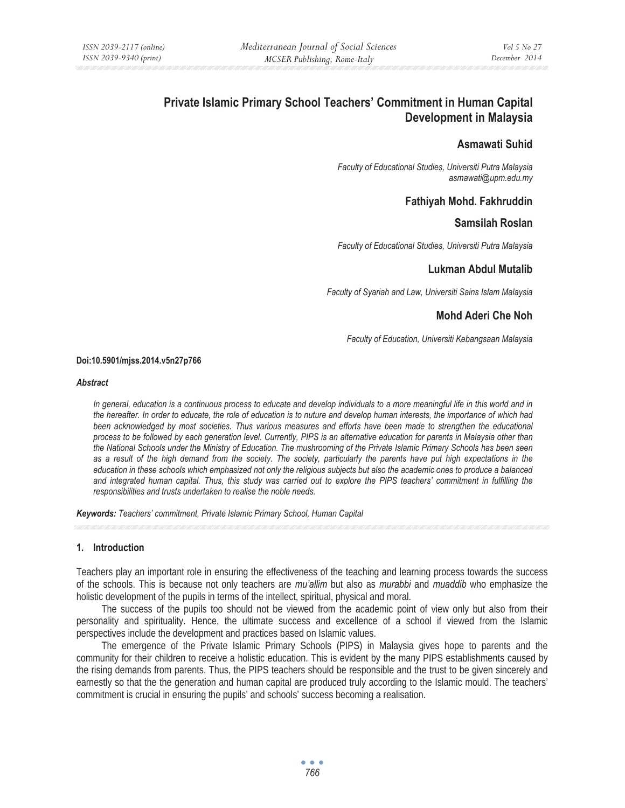# **Private Islamic Primary School Teachers' Commitment in Human Capital Development in Malaysia**

## **Asmawati Suhid**

*Faculty of Educational Studies, Universiti Putra Malaysia asmawati@upm.edu.my* 

## **Fathiyah Mohd. Fakhruddin**

## **Samsilah Roslan**

*Faculty of Educational Studies, Universiti Putra Malaysia* 

## **Lukman Abdul Mutalib**

*Faculty of Syariah and Law, Universiti Sains Islam Malaysia* 

## **Mohd Aderi Che Noh**

*Faculty of Education, Universiti Kebangsaan Malaysia* 

#### **Doi:10.5901/mjss.2014.v5n27p766**

#### *Abstract*

*In general, education is a continuous process to educate and develop individuals to a more meaningful life in this world and in the hereafter. In order to educate, the role of education is to nuture and develop human interests, the importance of which had* been acknowledged by most societies. Thus various measures and efforts have been made to strengthen the educational *process to be followed by each generation level. Currently, PIPS is an alternative education for parents in Malaysia other than the National Schools under the Ministry of Education. The mushrooming of the Private Islamic Primary Schools has been seen as a result of the high demand from the society. The society, particularly the parents have put high expectations in the education in these schools which emphasized not only the religious subjects but also the academic ones to produce a balanced*  and integrated human capital. Thus, this study was carried out to explore the PIPS teachers' commitment in fulfilling the *responsibilities and trusts undertaken to realise the noble needs.* 

*Keywords: Teachers' commitment, Private Islamic Primary School, Human Capital*

## **1. Introduction**

Teachers play an important role in ensuring the effectiveness of the teaching and learning process towards the success of the schools. This is because not only teachers are *mu'allim* but also as *murabbi* and *muaddib* who emphasize the holistic development of the pupils in terms of the intellect, spiritual, physical and moral.

The success of the pupils too should not be viewed from the academic point of view only but also from their personality and spirituality. Hence, the ultimate success and excellence of a school if viewed from the Islamic perspectives include the development and practices based on Islamic values.

The emergence of the Private Islamic Primary Schools (PIPS) in Malaysia gives hope to parents and the community for their children to receive a holistic education. This is evident by the many PIPS establishments caused by the rising demands from parents. Thus, the PIPS teachers should be responsible and the trust to be given sincerely and earnestly so that the the generation and human capital are produced truly according to the Islamic mould. The teachers' commitment is crucial in ensuring the pupils' and schools' success becoming a realisation.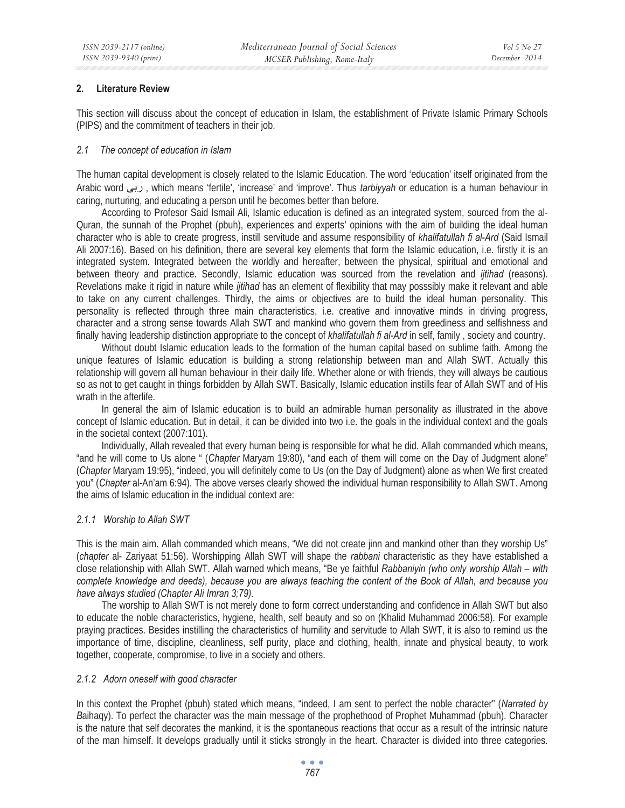## **2. Literature Review**

This section will discuss about the concept of education in Islam, the establishment of Private Islamic Primary Schools (PIPS) and the commitment of teachers in their job.

#### *2.1 The concept of education in Islam*

The human capital development is closely related to the Islamic Education. The word 'education' itself originated from the Arabic word ϰΑέ , which means 'fertile', 'increase' and 'improve'. Thus *tarbiyyah* or education is a human behaviour in caring, nurturing, and educating a person until he becomes better than before.

According to Profesor Said Ismail Ali, Islamic education is defined as an integrated system, sourced from the al-Quran, the sunnah of the Prophet (pbuh), experiences and experts' opinions with the aim of building the ideal human character who is able to create progress, instill servitude and assume responsibility of *khalifatullah fi al-Ard* (Said Ismail Ali 2007:16). Based on his definition, there are several key elements that form the Islamic education, i.e. firstly it is an integrated system. Integrated between the worldly and hereafter, between the physical, spiritual and emotional and between theory and practice. Secondly, Islamic education was sourced from the revelation and *ijtihad* (reasons). Revelations make it rigid in nature while *ijtihad* has an element of flexibility that may posssibly make it relevant and able to take on any current challenges. Thirdly, the aims or objectives are to build the ideal human personality. This personality is reflected through three main characteristics, i.e. creative and innovative minds in driving progress, character and a strong sense towards Allah SWT and mankind who govern them from greediness and selfishness and finally having leadership distinction appropriate to the concept of *khalifatullah fi al-Ard* in self, family , society and country.

Without doubt Islamic education leads to the formation of the human capital based on sublime faith. Among the unique features of Islamic education is building a strong relationship between man and Allah SWT. Actually this relationship will govern all human behaviour in their daily life. Whether alone or with friends, they will always be cautious so as not to get caught in things forbidden by Allah SWT. Basically, Islamic education instills fear of Allah SWT and of His wrath in the afterlife.

In general the aim of Islamic education is to build an admirable human personality as illustrated in the above concept of Islamic education. But in detail, it can be divided into two i.e. the goals in the individual context and the goals in the societal context (2007:101).

Individually, Allah revealed that every human being is responsible for what he did. Allah commanded which means, "and he will come to Us alone " (*Chapter* Maryam 19:80), "and each of them will come on the Day of Judgment alone" (*Chapter* Maryam 19:95), "indeed, you will definitely come to Us (on the Day of Judgment) alone as when We first created you" (*Chapter* al-An'am 6:94). The above verses clearly showed the individual human responsibility to Allah SWT. Among the aims of Islamic education in the indidual context are:

#### *2.1.1 Worship to Allah SWT*

This is the main aim. Allah commanded which means, "We did not create jinn and mankind other than they worship Us" (*chapter* al- Zariyaat 51:56). Worshipping Allah SWT will shape the *rabbani* characteristic as they have established a close relationship with Allah SWT. Allah warned which means, "Be ye faithful *Rabbaniyin (who only worship Allah – with complete knowledge and deeds), because you are always teaching the content of the Book of Allah, and because you have always studied (Chapter Ali Imran 3;79).* 

The worship to Allah SWT is not merely done to form correct understanding and confidence in Allah SWT but also to educate the noble characteristics, hygiene, health, self beauty and so on (Khalid Muhammad 2006:58). For example praying practices. Besides instilling the characteristics of humility and servitude to Allah SWT, it is also to remind us the importance of time, discipline, cleanliness, self purity, place and clothing, health, innate and physical beauty, to work together, cooperate, compromise, to live in a society and others.

#### *2.1.2 Adorn oneself with good character*

In this context the Prophet (pbuh) stated which means, "indeed, I am sent to perfect the noble character" (*Narrated by B*aihaqy). To perfect the character was the main message of the prophethood of Prophet Muhammad (pbuh). Character is the nature that self decorates the mankind, it is the spontaneous reactions that occur as a result of the intrinsic nature of the man himself. It develops gradually until it sticks strongly in the heart. Character is divided into three categories.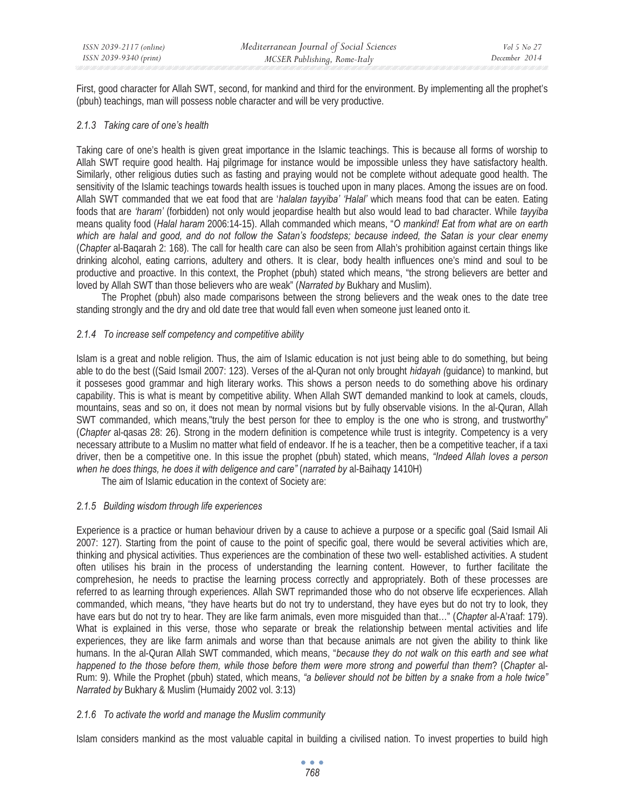First, good character for Allah SWT, second, for mankind and third for the environment. By implementing all the prophet's (pbuh) teachings, man will possess noble character and will be very productive.

## *2.1.3 Taking care of one's health*

Taking care of one's health is given great importance in the Islamic teachings. This is because all forms of worship to Allah SWT require good health. Haj pilgrimage for instance would be impossible unless they have satisfactory health. Similarly, other religious duties such as fasting and praying would not be complete without adequate good health. The sensitivity of the Islamic teachings towards health issues is touched upon in many places. Among the issues are on food. Allah SWT commanded that we eat food that are '*halalan tayyiba' 'Halal'* which means food that can be eaten. Eating foods that are *'haram'* (forbidden) not only would jeopardise health but also would lead to bad character. While *tayyiba*  means quality food (*Halal haram* 2006:14-15). Allah commanded which means, "*O mankind! Eat from what are on earth which are halal and good, and do not follow the Satan's foodsteps; because indeed, the Satan is your clear enemy*  (*Chapter* al-Baqarah 2: 168). The call for health care can also be seen from Allah's prohibition against certain things like drinking alcohol, eating carrions, adultery and others. It is clear, body health influences one's mind and soul to be productive and proactive. In this context, the Prophet (pbuh) stated which means, "the strong believers are better and loved by Allah SWT than those believers who are weak" (*Narrated by* Bukhary and Muslim).

The Prophet (pbuh) also made comparisons between the strong believers and the weak ones to the date tree standing strongly and the dry and old date tree that would fall even when someone just leaned onto it.

## *2.1.4 To increase self competency and competitive ability*

Islam is a great and noble religion. Thus, the aim of Islamic education is not just being able to do something, but being able to do the best ((Said Ismail 2007: 123). Verses of the al-Quran not only brought *hidayah (*guidance) to mankind, but it posseses good grammar and high literary works. This shows a person needs to do something above his ordinary capability. This is what is meant by competitive ability. When Allah SWT demanded mankind to look at camels, clouds, mountains, seas and so on, it does not mean by normal visions but by fully observable visions. In the al-Quran, Allah SWT commanded, which means,"truly the best person for thee to employ is the one who is strong, and trustworthy" (*Chapter* al-qasas 28: 26). Strong in the modern definition is competence while trust is integrity. Competency is a very necessary attribute to a Muslim no matter what field of endeavor. If he is a teacher, then be a competitive teacher, if a taxi driver, then be a competitive one. In this issue the prophet (pbuh) stated, which means, *"Indeed Allah loves a person when he does things, he does it with deligence and care"* (*narrated by* al-Baihaqy 1410H)

The aim of Islamic education in the context of Society are:

## *2.1.5 Building wisdom through life experiences*

Experience is a practice or human behaviour driven by a cause to achieve a purpose or a specific goal (Said Ismail Ali 2007: 127). Starting from the point of cause to the point of specific goal, there would be several activities which are, thinking and physical activities. Thus experiences are the combination of these two well- established activities. A student often utilises his brain in the process of understanding the learning content. However, to further facilitate the comprehesion, he needs to practise the learning process correctly and appropriately. Both of these processes are referred to as learning through experiences. Allah SWT reprimanded those who do not observe life ecxperiences. Allah commanded, which means, "they have hearts but do not try to understand, they have eyes but do not try to look, they have ears but do not try to hear. They are like farm animals, even more misguided than that…" (*Chapter* al-A'raaf: 179). What is explained in this verse, those who separate or break the relationship between mental activities and life experiences, they are like farm animals and worse than that because animals are not given the ability to think like humans. In the al-Quran Allah SWT commanded, which means, "*because they do not walk on this earth and see what happened to the those before them, while those before them were more strong and powerful than them*? (*Chapter* al-Rum: 9). While the Prophet (pbuh) stated, which means, *"a believer should not be bitten by a snake from a hole twice" Narrated by* Bukhary & Muslim (Humaidy 2002 vol. 3:13)

## *2.1.6 To activate the world and manage the Muslim community*

Islam considers mankind as the most valuable capital in building a civilised nation. To invest properties to build high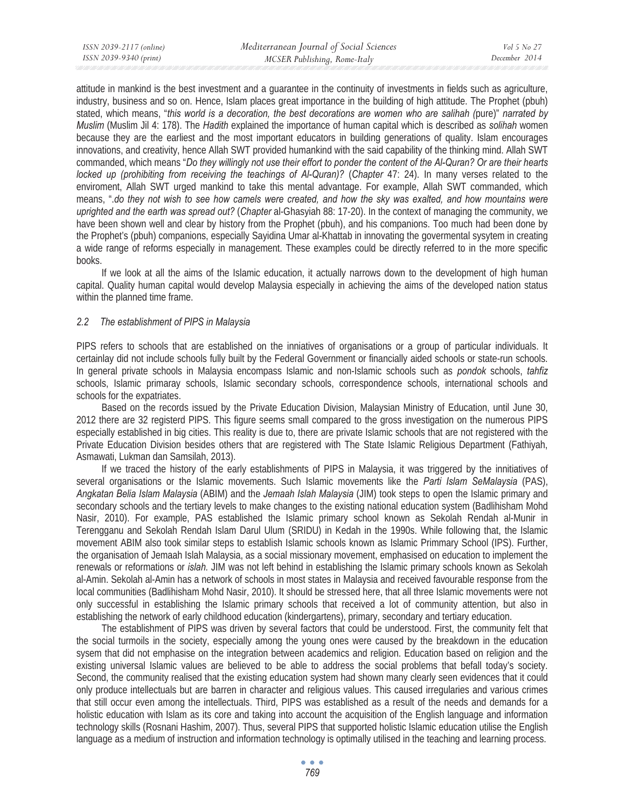attitude in mankind is the best investment and a guarantee in the continuity of investments in fields such as agriculture, industry, business and so on. Hence, Islam places great importance in the building of high attitude. The Prophet (pbuh) stated, which means, "*this world is a decoration, the best decorations are women who are salihah (*pure)" *narrated by Muslim* (Muslim Jil 4: 178). The *Hadith* explained the importance of human capital which is described as *solihah* women because they are the earliest and the most important educators in building generations of quality. Islam encourages innovations, and creativity, hence Allah SWT provided humankind with the said capability of the thinking mind. Allah SWT commanded, which means "*Do they willingly not use their effort to ponder the content of the Al-Quran? Or are their hearts locked up (prohibiting from receiving the teachings of Al-Quran)?* (*Chapter* 47: 24). In many verses related to the enviroment, Allah SWT urged mankind to take this mental advantage. For example, Allah SWT commanded, which means, ".*do they not wish to see how camels were created, and how the sky was exalted, and how mountains were uprighted and the earth was spread out?* (*Chapter* al-Ghasyiah 88: 17-20). In the context of managing the community, we have been shown well and clear by history from the Prophet (pbuh), and his companions. Too much had been done by the Prophet's (pbuh) companions, especially Sayidina Umar al-Khattab in innovating the govermental sysytem in creating a wide range of reforms especially in management. These examples could be directly referred to in the more specific books.

If we look at all the aims of the Islamic education, it actually narrows down to the development of high human capital. Quality human capital would develop Malaysia especially in achieving the aims of the developed nation status within the planned time frame.

#### *2.2 The establishment of PIPS in Malaysia*

PIPS refers to schools that are established on the inniatives of organisations or a group of particular individuals. It certainlay did not include schools fully built by the Federal Government or financially aided schools or state-run schools. In general private schools in Malaysia encompass Islamic and non-Islamic schools such as *pondok* schools, *tahfiz* schools, Islamic primaray schools, Islamic secondary schools, correspondence schools, international schools and schools for the expatriates.

Based on the records issued by the Private Education Division, Malaysian Ministry of Education, until June 30, 2012 there are 32 registerd PIPS. This figure seems small compared to the gross investigation on the numerous PIPS especially established in big cities. This reality is due to, there are private Islamic schools that are not registered with the Private Education Division besides others that are registered with The State Islamic Religious Department (Fathiyah, Asmawati, Lukman dan Samsilah, 2013).

If we traced the history of the early establishments of PIPS in Malaysia, it was triggered by the innitiatives of several organisations or the Islamic movements. Such Islamic movements like the *Parti Islam SeMalaysia* (PAS), *Angkatan Belia Islam Malaysia* (ABIM) and the *Jemaah Islah Malaysia* (JIM) took steps to open the Islamic primary and secondary schools and the tertiary levels to make changes to the existing national education system (Badlihisham Mohd Nasir, 2010). For example, PAS established the Islamic primary school known as Sekolah Rendah al-Munir in Terengganu and Sekolah Rendah Islam Darul Ulum (SRIDU) in Kedah in the 1990s. While following that, the Islamic movement ABIM also took similar steps to establish Islamic schools known as Islamic Primmary School (IPS). Further, the organisation of Jemaah Islah Malaysia, as a social missionary movement, emphasised on education to implement the renewals or reformations or *islah.* JIM was not left behind in establishing the Islamic primary schools known as Sekolah al-Amin. Sekolah al-Amin has a network of schools in most states in Malaysia and received favourable response from the local communities (Badlihisham Mohd Nasir, 2010). It should be stressed here, that all three Islamic movements were not only successful in establishing the Islamic primary schools that received a lot of community attention, but also in establishing the network of early childhood education (kindergartens), primary, secondary and tertiary education.

The establishment of PIPS was driven by several factors that could be understood. First, the community felt that the social turmoils in the society, especially among the young ones were caused by the breakdown in the education sysem that did not emphasise on the integration between academics and religion. Education based on religion and the existing universal Islamic values are believed to be able to address the social problems that befall today's society. Second, the community realised that the existing education system had shown many clearly seen evidences that it could only produce intellectuals but are barren in character and religious values. This caused irregularies and various crimes that still occur even among the intellectuals. Third, PIPS was established as a result of the needs and demands for a holistic education with Islam as its core and taking into account the acquisition of the English language and information technology skills (Rosnani Hashim, 2007). Thus, several PIPS that supported holistic Islamic education utilise the English language as a medium of instruction and information technology is optimally utilised in the teaching and learning process.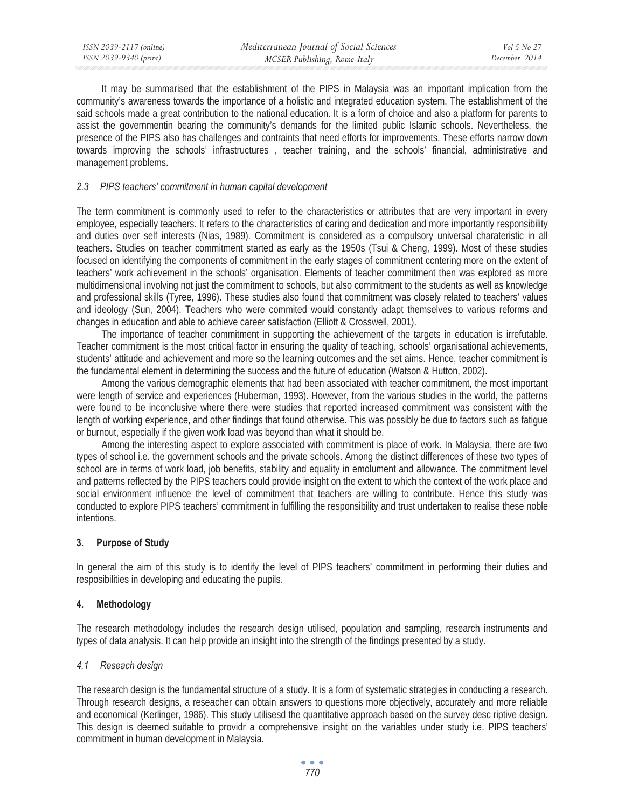It may be summarised that the establishment of the PIPS in Malaysia was an important implication from the community's awareness towards the importance of a holistic and integrated education system. The establishment of the said schools made a great contribution to the national education. It is a form of choice and also a platform for parents to assist the governmentin bearing the community's demands for the limited public Islamic schools. Nevertheless, the presence of the PIPS also has challenges and contraints that need efforts for improvements. These efforts narrow down towards improving the schools' infrastructures , teacher training, and the schools' financial, administrative and management problems.

#### *2.3 PIPS teachers' commitment in human capital development*

The term commitment is commonly used to refer to the characteristics or attributes that are very important in every employee, especially teachers. It refers to the characteristics of caring and dedication and more importantly responsibility and duties over self interests (Nias, 1989). Commitment is considered as a compulsory universal charateristic in all teachers. Studies on teacher commitment started as early as the 1950s (Tsui & Cheng, 1999). Most of these studies focused on identifying the components of commitment in the early stages of commitment ccntering more on the extent of teachers' work achievement in the schools' organisation. Elements of teacher commitment then was explored as more multidimensional involving not just the commitment to schools, but also commitment to the students as well as knowledge and professional skills (Tyree, 1996). These studies also found that commitment was closely related to teachers' values and ideology (Sun, 2004). Teachers who were commited would constantly adapt themselves to various reforms and changes in education and able to achieve career satisfaction (Elliott & Crosswell, 2001).

The importance of teacher commitment in supporting the achievement of the targets in education is irrefutable. Teacher commitment is the most critical factor in ensuring the quality of teaching, schools' organisational achievements, students' attitude and achievement and more so the learning outcomes and the set aims. Hence, teacher commitment is the fundamental element in determining the success and the future of education (Watson & Hutton, 2002).

Among the various demographic elements that had been associated with teacher commitment, the most important were length of service and experiences (Huberman, 1993). However, from the various studies in the world, the patterns were found to be inconclusive where there were studies that reported increased commitment was consistent with the length of working experience, and other findings that found otherwise. This was possibly be due to factors such as fatigue or burnout, especially if the given work load was beyond than what it should be.

Among the interesting aspect to explore associated with commitment is place of work. In Malaysia, there are two types of school i.e. the government schools and the private schools. Among the distinct differences of these two types of school are in terms of work load, job benefits, stability and equality in emolument and allowance. The commitment level and patterns reflected by the PIPS teachers could provide insight on the extent to which the context of the work place and social environment influence the level of commitment that teachers are willing to contribute. Hence this study was conducted to explore PIPS teachers' commitment in fulfilling the responsibility and trust undertaken to realise these noble intentions.

#### **3. Purpose of Study**

In general the aim of this study is to identify the level of PIPS teachers' commitment in performing their duties and resposibilities in developing and educating the pupils.

#### **4. Methodology**

The research methodology includes the research design utilised, population and sampling, research instruments and types of data analysis. It can help provide an insight into the strength of the findings presented by a study.

#### *4.1 Reseach design*

The research design is the fundamental structure of a study. It is a form of systematic strategies in conducting a research. Through research designs, a reseacher can obtain answers to questions more objectively, accurately and more reliable and economical (Kerlinger, 1986). This study utilisesd the quantitative approach based on the survey desc riptive design. This design is deemed suitable to providr a comprehensive insight on the variables under study i.e. PIPS teachers' commitment in human development in Malaysia.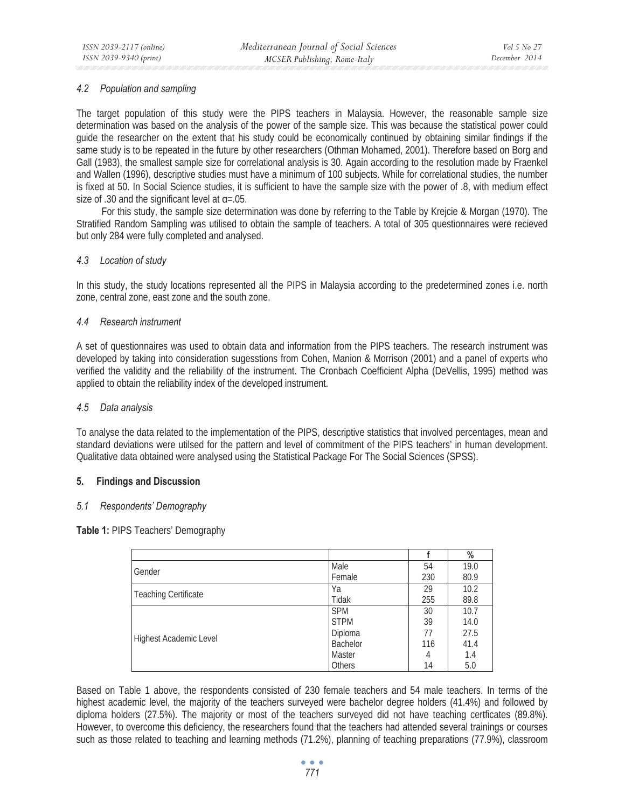#### *4.2 Population and sampling*

The target population of this study were the PIPS teachers in Malaysia. However, the reasonable sample size determination was based on the analysis of the power of the sample size. This was because the statistical power could guide the researcher on the extent that his study could be economically continued by obtaining similar findings if the same study is to be repeated in the future by other researchers (Othman Mohamed, 2001). Therefore based on Borg and Gall (1983), the smallest sample size for correlational analysis is 30. Again according to the resolution made by Fraenkel and Wallen (1996), descriptive studies must have a minimum of 100 subjects. While for correlational studies, the number is fixed at 50. In Social Science studies, it is sufficient to have the sample size with the power of .8, with medium effect size of .30 and the significant level at  $\alpha$ =.05.

For this study, the sample size determination was done by referring to the Table by Krejcie & Morgan (1970). The Stratified Random Sampling was utilised to obtain the sample of teachers. A total of 305 questionnaires were recieved but only 284 were fully completed and analysed.

#### *4.3 Location of study*

In this study, the study locations represented all the PIPS in Malaysia according to the predetermined zones i.e. north zone, central zone, east zone and the south zone.

#### *4.4 Research instrument*

A set of questionnaires was used to obtain data and information from the PIPS teachers. The research instrument was developed by taking into consideration sugesstions from Cohen, Manion & Morrison (2001) and a panel of experts who verified the validity and the reliability of the instrument. The Cronbach Coefficient Alpha (DeVellis, 1995) method was applied to obtain the reliability index of the developed instrument.

#### *4.5 Data analysis*

To analyse the data related to the implementation of the PIPS, descriptive statistics that involved percentages, mean and standard deviations were utilsed for the pattern and level of commitment of the PIPS teachers' in human development. Qualitative data obtained were analysed using the Statistical Package For The Social Sciences (SPSS).

#### **5. Findings and Discussion**

#### *5.1 Respondents' Demography*

**Table 1:** PIPS Teachers' Demography

|                             |               |     | $\%$ |
|-----------------------------|---------------|-----|------|
| Gender                      | Male          | 54  | 19.0 |
|                             | Female        | 230 | 80.9 |
|                             | Ya            | 29  | 10.2 |
| <b>Teaching Certificate</b> | Tidak         | 255 | 89.8 |
|                             | <b>SPM</b>    | 30  | 10.7 |
|                             | <b>STPM</b>   | 39  | 14.0 |
| Highest Academic Level      | Diploma       | 77  | 27.5 |
|                             | Bachelor      | 116 | 41.4 |
|                             | Master        |     | 1.4  |
|                             | <b>Others</b> | 14  | 5.0  |

Based on Table 1 above, the respondents consisted of 230 female teachers and 54 male teachers. In terms of the highest academic level, the majority of the teachers surveyed were bachelor degree holders (41.4%) and followed by diploma holders (27.5%). The majority or most of the teachers surveyed did not have teaching certficates (89.8%). However, to overcome this deficiency, the researchers found that the teachers had attended several trainings or courses such as those related to teaching and learning methods (71.2%), planning of teaching preparations (77.9%), classroom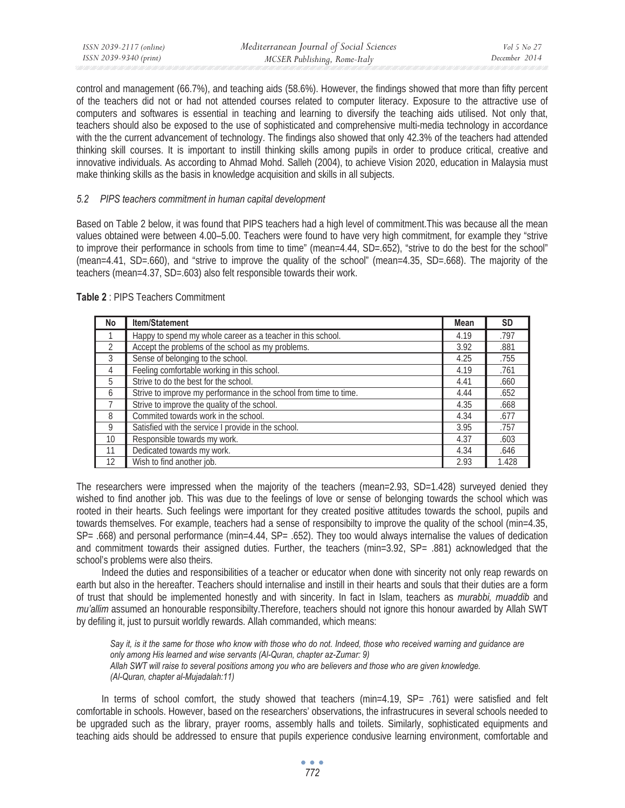| ISSN 2039-2117 (online) | Mediterranean Journal of Social Sciences | <i>Vol</i> 5 No 27 |
|-------------------------|------------------------------------------|--------------------|
| ISSN 2039-9340 (print)  | MCSER Publishing, Rome-Italy             | December 2014      |

control and management (66.7%), and teaching aids (58.6%). However, the findings showed that more than fifty percent of the teachers did not or had not attended courses related to computer literacy. Exposure to the attractive use of computers and softwares is essential in teaching and learning to diversify the teaching aids utilised. Not only that, teachers should also be exposed to the use of sophisticated and comprehensive multi-media technology in accordance with the the current advancement of technology. The findings also showed that only 42.3% of the teachers had attended thinking skill courses. It is important to instill thinking skills among pupils in order to produce critical, creative and innovative individuals. As according to Ahmad Mohd. Salleh (2004), to achieve Vision 2020, education in Malaysia must make thinking skills as the basis in knowledge acquisition and skills in all subjects.

### *5.2 PIPS teachers commitment in human capital development*

Based on Table 2 below, it was found that PIPS teachers had a high level of commitment.This was because all the mean values obtained were between 4.00–5.00. Teachers were found to have very high commitment, for example they "strive to improve their performance in schools from time to time" (mean=4.44, SD=.652), "strive to do the best for the school" (mean=4.41, SD=.660), and "strive to improve the quality of the school" (mean=4.35, SD=.668). The majority of the teachers (mean=4.37, SD=.603) also felt responsible towards their work.

| No              | <b>Item/Statement</b>                                             | <b>Mean</b> | <b>SD</b> |
|-----------------|-------------------------------------------------------------------|-------------|-----------|
|                 | Happy to spend my whole career as a teacher in this school.       | 4.19        | .797      |
| $\mathfrak{D}$  | Accept the problems of the school as my problems.                 | 3.92        | .881      |
| 3               | Sense of belonging to the school.                                 | 4.25        | .755      |
| 4               | Feeling comfortable working in this school.                       | 4.19        | .761      |
| 5               | Strive to do the best for the school.                             | 4.41        | .660      |
| 6               | Strive to improve my performance in the school from time to time. | 4.44        | .652      |
|                 | Strive to improve the quality of the school.                      | 4.35        | .668      |
| 8               | Commited towards work in the school.                              | 4.34        | .677      |
| 9               | Satisfied with the service I provide in the school.               | 3.95        | .757      |
| 10 <sup>1</sup> | Responsible towards my work.                                      | 4.37        | .603      |
| 11              | Dedicated towards my work.                                        | 4.34        | .646      |
| 12              | Wish to find another job.                                         | 2.93        | 1.428     |

**Table 2** : PIPS Teachers Commitment

The researchers were impressed when the majority of the teachers (mean=2.93, SD=1.428) surveyed denied they wished to find another job. This was due to the feelings of love or sense of belonging towards the school which was rooted in their hearts. Such feelings were important for they created positive attitudes towards the school, pupils and towards themselves. For example, teachers had a sense of responsibilty to improve the quality of the school (min=4.35, SP= .668) and personal performance (min=4.44, SP= .652). They too would always internalise the values of dedication and commitment towards their assigned duties. Further, the teachers (min=3.92, SP= .881) acknowledged that the school's problems were also theirs.

Indeed the duties and responsibilities of a teacher or educator when done with sincerity not only reap rewards on earth but also in the hereafter. Teachers should internalise and instill in their hearts and souls that their duties are a form of trust that should be implemented honestly and with sincerity. In fact in Islam, teachers as *murabbi, muaddib* and *mu'allim* assumed an honourable responsibilty.Therefore, teachers should not ignore this honour awarded by Allah SWT by defiling it, just to pursuit worldly rewards. Allah commanded, which means:

Say *it, is it the same for those who know with those who do not. Indeed, those who received warning and guidance are only among His learned and wise servants (Al-Quran, chapter az-Zumar: 9) Allah SWT will raise to several positions among you who are believers and those who are given knowledge. (Al-Quran, chapter al-Mujadalah:11)* 

In terms of school comfort, the study showed that teachers (min=4.19, SP= .761) were satisfied and felt comfortable in schools. However, based on the researchers' observations, the infrastrucures in several schools needed to be upgraded such as the library, prayer rooms, assembly halls and toilets. Similarly, sophisticated equipments and teaching aids should be addressed to ensure that pupils experience condusive learning environment, comfortable and